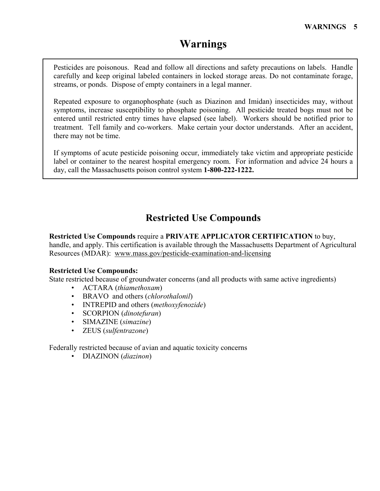# **Warnings**

Pesticides are poisonous. Read and follow all directions and safety precautions on labels. Handle carefully and keep original labeled containers in locked storage areas. Do not contaminate forage, streams, or ponds. Dispose of empty containers in a legal manner.

Repeated exposure to organophosphate (such as Diazinon and Imidan) insecticides may, without symptoms, increase susceptibility to phosphate poisoning. All pesticide treated bogs must not be entered until restricted entry times have elapsed (see label). Workers should be notified prior to treatment. Tell family and co-workers. Make certain your doctor understands. After an accident, there may not be time.

If symptoms of acute pesticide poisoning occur, immediately take victim and appropriate pesticide label or container to the nearest hospital emergency room. For information and advice 24 hours a day, call the Massachusetts poison control system **1-800-222-1222.**

# **Restricted Use Compounds**

**Restricted Use Compounds** require a **PRIVATE APPLICATOR CERTIFICATION** to buy, handle, and apply. This certification is available through the Massachusetts Department of Agricultural Resources (MDAR): [www.mass.gov/pesticide-examination-and-licensing](http://www.mass.gov/pesticide-examination-and-licensing)

### **Restricted Use Compounds:**

State restricted because of groundwater concerns (and all products with same active ingredients)

- ACTARA (*thiamethoxam*)
- BRAVO and others (*chlorothalonil*)
- INTREPID and others (*methoxyfenozide*)
- SCORPION (*dinotefuran*)
- SIMAZINE (*simazine*)
- ZEUS (*sulfentrazone*)

Federally restricted because of avian and aquatic toxicity concerns

• DIAZINON (*diazinon*)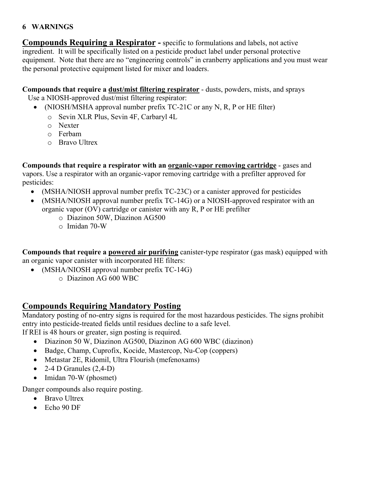### **6 WARNINGS**

**Compounds Requiring a Respirator -** specific to formulations and labels, not active ingredient. It will be specifically listed on a pesticide product label under personal protective equipment. Note that there are no "engineering controls" in cranberry applications and you must wear the personal protective equipment listed for mixer and loaders.

**Compounds that require a dust/mist filtering respirator** - dusts, powders, mists, and sprays

Use a NIOSH-approved dust/mist filtering respirator:

- (NIOSH/MSHA approval number prefix TC-21C or any N, R, P or HE filter)
	- o Sevin XLR Plus, Sevin 4F, Carbaryl 4L
	- o Nexter
	- o Ferbam
	- o Bravo Ultrex

**Compounds that require a respirator with an organic-vapor removing cartridge** - gases and vapors. Use a respirator with an organic-vapor removing cartridge with a prefilter approved for pesticides:

- (MSHA/NIOSH approval number prefix TC-23C) or a canister approved for pesticides
- (MSHA/NIOSH approval number prefix TC-14G) or a NIOSH-approved respirator with an organic vapor (OV) cartridge or canister with any R, P or HE prefilter
	- o Diazinon 50W, Diazinon AG500
	- $\circ$  Imidan 70-W

**Compounds that require a powered air purifying** canister-type respirator (gas mask) equipped with an organic vapor canister with incorporated HE filters:

- (MSHA/NIOSH approval number prefix TC-14G)
	- o Diazinon AG 600 WBC

## **Compounds Requiring Mandatory Posting**

Mandatory posting of no-entry signs is required for the most hazardous pesticides. The signs prohibit entry into pesticide-treated fields until residues decline to a safe level.

If REI is 48 hours or greater, sign posting is required.

- Diazinon 50 W, Diazinon AG500, Diazinon AG 600 WBC (diazinon)
- Badge, Champ, Cuprofix, Kocide, Mastercop, Nu-Cop (coppers)
- Metastar 2E, Ridomil, Ultra Flourish (mefenoxams)
- 2-4 D Granules  $(2,4-D)$
- Imidan 70-W (phosmet)

Danger compounds also require posting.

- Bravo Ultrex
- Echo 90 DF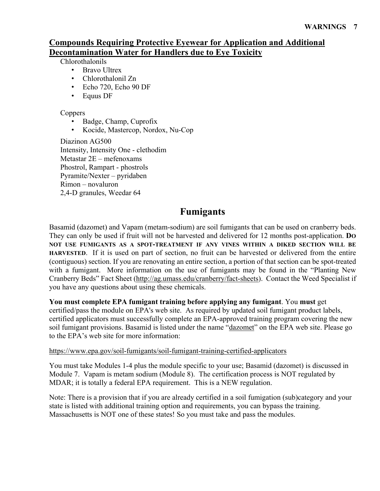# **Compounds Requiring Protective Eyewear for Application and Additional Decontamination Water for Handlers due to Eye Toxicity**

Chlorothalonils

- Bravo Ultrex
- Chlorothalonil Zn
- Echo 720, Echo 90 DF
- Equus DF

## Coppers

- Badge, Champ, Cuprofix
- Kocide, Mastercop, Nordox, Nu-Cop

Diazinon AG500 Intensity, Intensity One - clethodim Metastar 2E – mefenoxams Phostrol, Rampart - phostrols Pyramite/Nexter – pyridaben Rimon – novaluron 2,4-D granules, Weedar 64

# **Fumigants**

Basamid (dazomet) and Vapam (metam-sodium) are soil fumigants that can be used on cranberry beds. They can only be used if fruit will not be harvested and delivered for 12 months post-application. **DO NOT USE FUMIGANTS AS A SPOT-TREATMENT IF ANY VINES WITHIN A DIKED SECTION WILL BE HARVESTED**. If it is used on part of section, no fruit can be harvested or delivered from the entire (contiguous) section. If you are renovating an entire section, a portion of that section can be spot-treated with a fumigant. More information on the use of fumigants may be found in the "Planting New Cranberry Beds" Fact Sheet [\(http://ag.umass.edu/cranberry/fact-sheets\)](http://ag.umass.edu/cranberry/fact-sheets). Contact the Weed Specialist if you have any questions about using these chemicals.

### **You must complete EPA fumigant training before applying any fumigant**. You **must** get

certified/pass the module on EPA's web site. As required by updated soil fumigant product labels, certified applicators must successfully complete an EPA-approved training program covering the new soil fumigant provisions. Basamid is listed under the name "dazomet" on the EPA web site. Please go to the EPA's web site for more information:

### <https://www.epa.gov/soil-fumigants/soil-fumigant-training-certified-applicators>

You must take Modules 1-4 plus the module specific to your use; Basamid (dazomet) is discussed in Module 7. Vapam is metam sodium (Module 8). The certification process is NOT regulated by MDAR; it is totally a federal EPA requirement. This is a NEW regulation.

Note: There is a provision that if you are already certified in a soil fumigation (sub)category and your state is listed with additional training option and requirements, you can bypass the training. Massachusetts is NOT one of these states! So you must take and pass the modules.